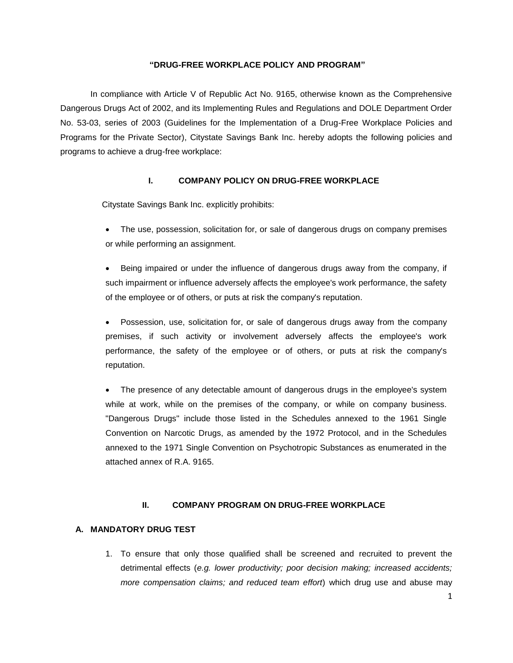#### **"DRUG-FREE WORKPLACE POLICY AND PROGRAM"**

In compliance with Article V of Republic Act No. 9165, otherwise known as the Comprehensive Dangerous Drugs Act of 2002, and its Implementing Rules and Regulations and DOLE Department Order No. 53-03, series of 2003 (Guidelines for the Implementation of a Drug-Free Workplace Policies and Programs for the Private Sector), Citystate Savings Bank Inc. hereby adopts the following policies and programs to achieve a drug-free workplace:

#### **I. COMPANY POLICY ON DRUG-FREE WORKPLACE**

Citystate Savings Bank Inc. explicitly prohibits:

 The use, possession, solicitation for, or sale of dangerous drugs on company premises or while performing an assignment.

 Being impaired or under the influence of dangerous drugs away from the company, if such impairment or influence adversely affects the employee's work performance, the safety of the employee or of others, or puts at risk the company's reputation.

 Possession, use, solicitation for, or sale of dangerous drugs away from the company premises, if such activity or involvement adversely affects the employee's work performance, the safety of the employee or of others, or puts at risk the company's reputation.

 The presence of any detectable amount of dangerous drugs in the employee's system while at work, while on the premises of the company, or while on company business. "Dangerous Drugs" include those listed in the Schedules annexed to the 1961 Single Convention on Narcotic Drugs, as amended by the 1972 Protocol, and in the Schedules annexed to the 1971 Single Convention on Psychotropic Substances as enumerated in the attached annex of R.A. 9165.

#### **II. COMPANY PROGRAM ON DRUG-FREE WORKPLACE**

### **A. MANDATORY DRUG TEST**

1. To ensure that only those qualified shall be screened and recruited to prevent the detrimental effects (*e.g. lower productivity; poor decision making; increased accidents; more compensation claims; and reduced team effort*) which drug use and abuse may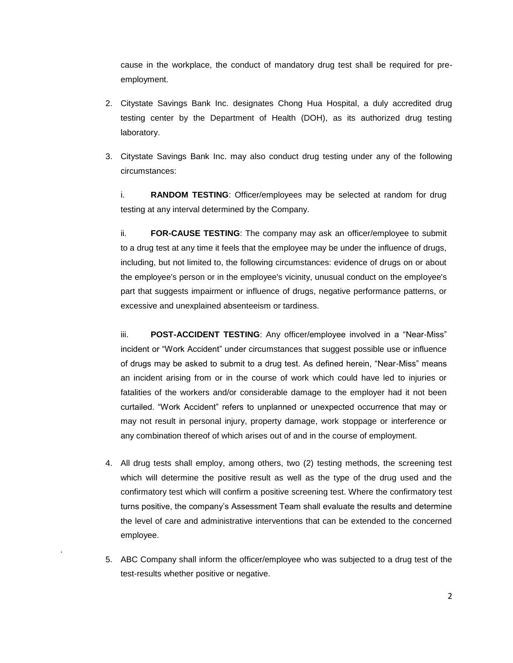cause in the workplace, the conduct of mandatory drug test shall be required for preemployment.

- 2. Citystate Savings Bank Inc. designates Chong Hua Hospital, a duly accredited drug testing center by the Department of Health (DOH), as its authorized drug testing laboratory.
- 3. Citystate Savings Bank Inc. may also conduct drug testing under any of the following circumstances:

i. **RANDOM TESTING**: Officer/employees may be selected at random for drug testing at any interval determined by the Company.

ii. **FOR-CAUSE TESTING**: The company may ask an officer/employee to submit to a drug test at any time it feels that the employee may be under the influence of drugs, including, but not limited to, the following circumstances: evidence of drugs on or about the employee's person or in the employee's vicinity, unusual conduct on the employee's part that suggests impairment or influence of drugs, negative performance patterns, or excessive and unexplained absenteeism or tardiness.

iii. **POST-ACCIDENT TESTING**: Any officer/employee involved in a "Near-Miss" incident or "Work Accident" under circumstances that suggest possible use or influence of drugs may be asked to submit to a drug test. As defined herein, "Near-Miss" means an incident arising from or in the course of work which could have led to injuries or fatalities of the workers and/or considerable damage to the employer had it not been curtailed. "Work Accident" refers to unplanned or unexpected occurrence that may or may not result in personal injury, property damage, work stoppage or interference or any combination thereof of which arises out of and in the course of employment.

- 4. All drug tests shall employ, among others, two (2) testing methods, the screening test which will determine the positive result as well as the type of the drug used and the confirmatory test which will confirm a positive screening test. Where the confirmatory test turns positive, the company's Assessment Team shall evaluate the results and determine the level of care and administrative interventions that can be extended to the concerned employee.
- 5. ABC Company shall inform the officer/employee who was subjected to a drug test of the test-results whether positive or negative.

.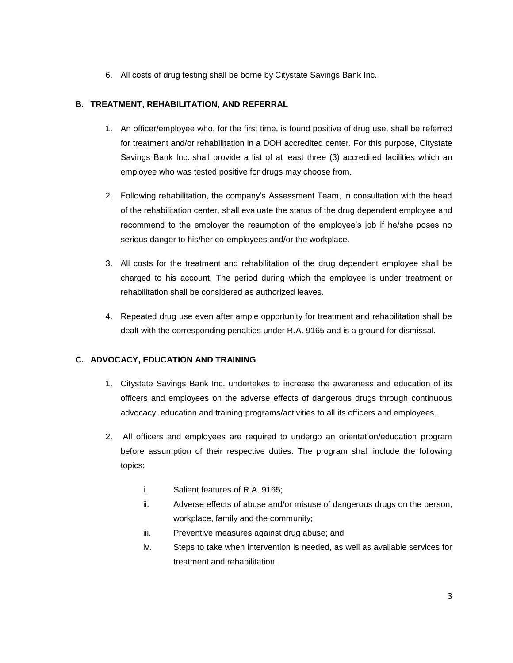6. All costs of drug testing shall be borne by Citystate Savings Bank Inc.

### **B. TREATMENT, REHABILITATION, AND REFERRAL**

- 1. An officer/employee who, for the first time, is found positive of drug use, shall be referred for treatment and/or rehabilitation in a DOH accredited center. For this purpose, Citystate Savings Bank Inc. shall provide a list of at least three (3) accredited facilities which an employee who was tested positive for drugs may choose from.
- 2. Following rehabilitation, the company's Assessment Team, in consultation with the head of the rehabilitation center, shall evaluate the status of the drug dependent employee and recommend to the employer the resumption of the employee's job if he/she poses no serious danger to his/her co-employees and/or the workplace.
- 3. All costs for the treatment and rehabilitation of the drug dependent employee shall be charged to his account. The period during which the employee is under treatment or rehabilitation shall be considered as authorized leaves.
- 4. Repeated drug use even after ample opportunity for treatment and rehabilitation shall be dealt with the corresponding penalties under R.A. 9165 and is a ground for dismissal.

## **C. ADVOCACY, EDUCATION AND TRAINING**

- 1. Citystate Savings Bank Inc. undertakes to increase the awareness and education of its officers and employees on the adverse effects of dangerous drugs through continuous advocacy, education and training programs/activities to all its officers and employees.
- 2. All officers and employees are required to undergo an orientation/education program before assumption of their respective duties. The program shall include the following topics:
	- i. Salient features of R.A. 9165;
	- ii. Adverse effects of abuse and/or misuse of dangerous drugs on the person, workplace, family and the community;
	- iii. Preventive measures against drug abuse; and
	- iv. Steps to take when intervention is needed, as well as available services for treatment and rehabilitation.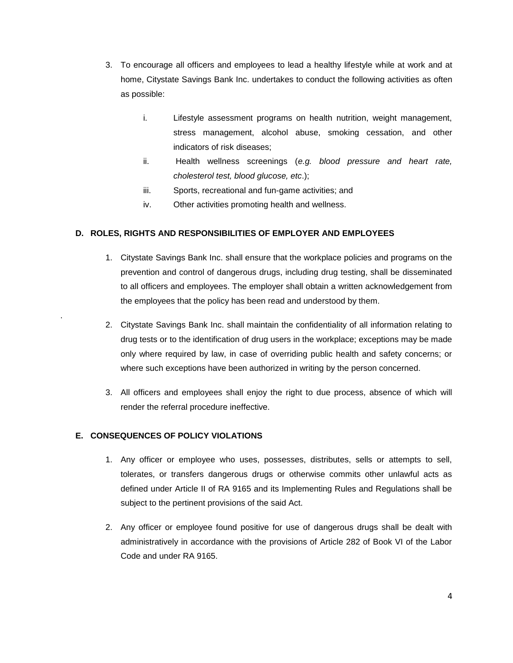- 3. To encourage all officers and employees to lead a healthy lifestyle while at work and at home, Citystate Savings Bank Inc. undertakes to conduct the following activities as often as possible:
	- i. Lifestyle assessment programs on health nutrition, weight management, stress management, alcohol abuse, smoking cessation, and other indicators of risk diseases;
	- ii. Health wellness screenings (*e.g. blood pressure and heart rate, cholesterol test, blood glucose, etc*.);
	- iii. Sports, recreational and fun-game activities; and
	- iv. Other activities promoting health and wellness.

### **D. ROLES, RIGHTS AND RESPONSIBILITIES OF EMPLOYER AND EMPLOYEES**

- 1. Citystate Savings Bank Inc. shall ensure that the workplace policies and programs on the prevention and control of dangerous drugs, including drug testing, shall be disseminated to all officers and employees. The employer shall obtain a written acknowledgement from the employees that the policy has been read and understood by them.
- 2. Citystate Savings Bank Inc. shall maintain the confidentiality of all information relating to drug tests or to the identification of drug users in the workplace; exceptions may be made only where required by law, in case of overriding public health and safety concerns; or where such exceptions have been authorized in writing by the person concerned.
- 3. All officers and employees shall enjoy the right to due process, absence of which will render the referral procedure ineffective.

### **E. CONSEQUENCES OF POLICY VIOLATIONS**

.

- 1. Any officer or employee who uses, possesses, distributes, sells or attempts to sell, tolerates, or transfers dangerous drugs or otherwise commits other unlawful acts as defined under Article II of RA 9165 and its Implementing Rules and Regulations shall be subject to the pertinent provisions of the said Act.
- 2. Any officer or employee found positive for use of dangerous drugs shall be dealt with administratively in accordance with the provisions of Article 282 of Book VI of the Labor Code and under RA 9165.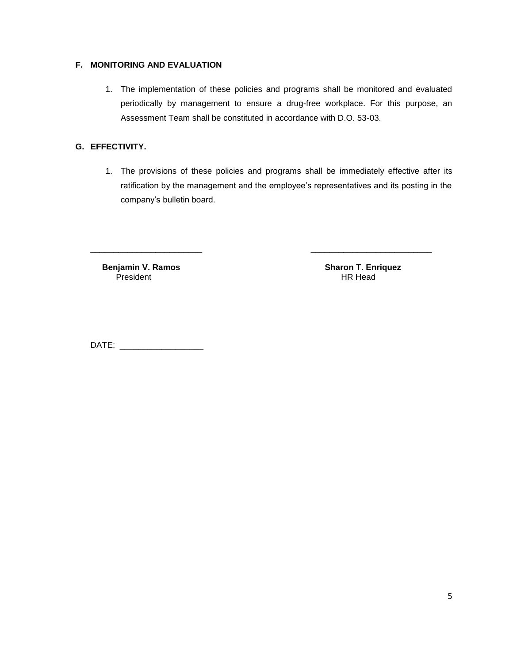### **F. MONITORING AND EVALUATION**

1. The implementation of these policies and programs shall be monitored and evaluated periodically by management to ensure a drug-free workplace. For this purpose, an Assessment Team shall be constituted in accordance with D.O. 53-03.

### **G. EFFECTIVITY.**

1. The provisions of these policies and programs shall be immediately effective after its ratification by the management and the employee's representatives and its posting in the company's bulletin board.

\_\_\_\_\_\_\_\_\_\_\_\_\_\_\_\_\_\_\_\_\_\_\_\_ \_\_\_\_\_\_\_\_\_\_\_\_\_\_\_\_\_\_\_\_\_\_\_\_\_\_

**Benjamin V. Ramos Sharon T. Enriquez**<br>President **HR Head** President

DATE: \_\_\_\_\_\_\_\_\_\_\_\_\_\_\_\_\_\_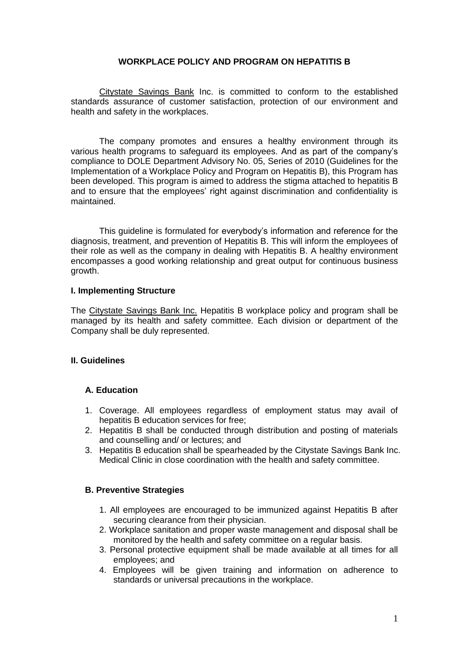## **WORKPLACE POLICY AND PROGRAM ON HEPATITIS B**

Citystate Savings Bank Inc. is committed to conform to the established standards assurance of customer satisfaction, protection of our environment and health and safety in the workplaces.

The company promotes and ensures a healthy environment through its various health programs to safeguard its employees. And as part of the company's compliance to DOLE Department Advisory No. 05, Series of 2010 (Guidelines for the Implementation of a Workplace Policy and Program on Hepatitis B), this Program has been developed. This program is aimed to address the stigma attached to hepatitis B and to ensure that the employees' right against discrimination and confidentiality is maintained.

This guideline is formulated for everybody's information and reference for the diagnosis, treatment, and prevention of Hepatitis B. This will inform the employees of their role as well as the company in dealing with Hepatitis B. A healthy environment encompasses a good working relationship and great output for continuous business growth.

### **I. Implementing Structure**

The Citystate Savings Bank Inc. Hepatitis B workplace policy and program shall be managed by its health and safety committee. Each division or department of the Company shall be duly represented.

## **II. Guidelines**

## **A. Education**

- 1. Coverage. All employees regardless of employment status may avail of hepatitis B education services for free;
- 2. Hepatitis B shall be conducted through distribution and posting of materials and counselling and/ or lectures; and
- 3. Hepatitis B education shall be spearheaded by the Citystate Savings Bank Inc. Medical Clinic in close coordination with the health and safety committee.

## **B. Preventive Strategies**

- 1. All employees are encouraged to be immunized against Hepatitis B after securing clearance from their physician.
- 2. Workplace sanitation and proper waste management and disposal shall be monitored by the health and safety committee on a regular basis.
- 3. Personal protective equipment shall be made available at all times for all employees; and
- 4. Employees will be given training and information on adherence to standards or universal precautions in the workplace.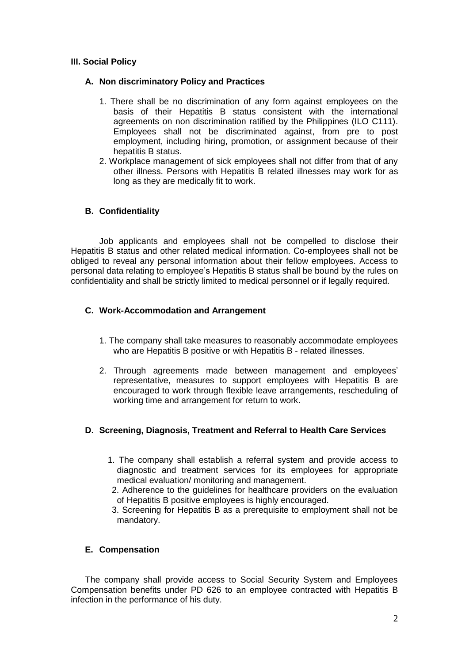# **III. Social Policy**

## **A. Non discriminatory Policy and Practices**

- 1. There shall be no discrimination of any form against employees on the basis of their Hepatitis B status consistent with the international agreements on non discrimination ratified by the Philippines (ILO C111). Employees shall not be discriminated against, from pre to post employment, including hiring, promotion, or assignment because of their hepatitis B status.
- 2. Workplace management of sick employees shall not differ from that of any other illness. Persons with Hepatitis B related illnesses may work for as long as they are medically fit to work.

# **B. Confidentiality**

Job applicants and employees shall not be compelled to disclose their Hepatitis B status and other related medical information. Co-employees shall not be obliged to reveal any personal information about their fellow employees. Access to personal data relating to employee's Hepatitis B status shall be bound by the rules on confidentiality and shall be strictly limited to medical personnel or if legally required.

## **C. Work-Accommodation and Arrangement**

- 1. The company shall take measures to reasonably accommodate employees who are Hepatitis B positive or with Hepatitis B - related illnesses.
- 2. Through agreements made between management and employees' representative, measures to support employees with Hepatitis B are encouraged to work through flexible leave arrangements, rescheduling of working time and arrangement for return to work.

# **D. Screening, Diagnosis, Treatment and Referral to Health Care Services**

- 1. The company shall establish a referral system and provide access to diagnostic and treatment services for its employees for appropriate medical evaluation/ monitoring and management.
- 2. Adherence to the guidelines for healthcare providers on the evaluation of Hepatitis B positive employees is highly encouraged.
- 3. Screening for Hepatitis B as a prerequisite to employment shall not be mandatory.

## **E. Compensation**

The company shall provide access to Social Security System and Employees Compensation benefits under PD 626 to an employee contracted with Hepatitis B infection in the performance of his duty.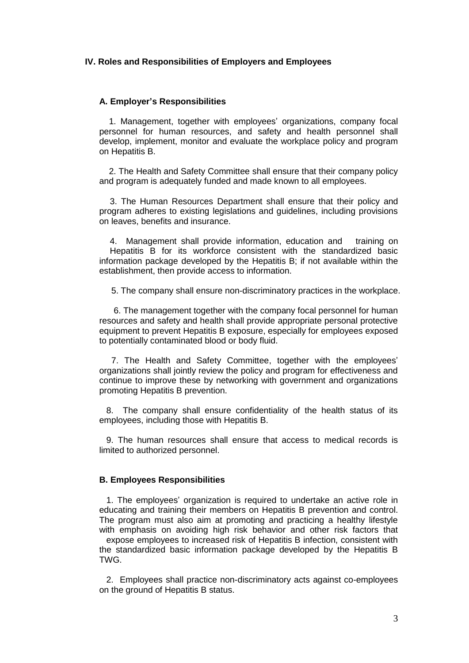### **IV. Roles and Responsibilities of Employers and Employees**

### **A. Employer's Responsibilities**

 1. Management, together with employees' organizations, company focal personnel for human resources, and safety and health personnel shall develop, implement, monitor and evaluate the workplace policy and program on Hepatitis B.

 2. The Health and Safety Committee shall ensure that their company policy and program is adequately funded and made known to all employees.

3. The Human Resources Department shall ensure that their policy and program adheres to existing legislations and guidelines, including provisions on leaves, benefits and insurance.

4. Management shall provide information, education and training on Hepatitis B for its workforce consistent with the standardized basic information package developed by the Hepatitis B; if not available within the establishment, then provide access to information.

5. The company shall ensure non-discriminatory practices in the workplace.

 6. The management together with the company focal personnel for human resources and safety and health shall provide appropriate personal protective equipment to prevent Hepatitis B exposure, especially for employees exposed to potentially contaminated blood or body fluid.

 7. The Health and Safety Committee, together with the employees' organizations shall jointly review the policy and program for effectiveness and continue to improve these by networking with government and organizations promoting Hepatitis B prevention.

8. The company shall ensure confidentiality of the health status of its employees, including those with Hepatitis B.

9. The human resources shall ensure that access to medical records is limited to authorized personnel.

### **B. Employees Responsibilities**

1. The employees' organization is required to undertake an active role in educating and training their members on Hepatitis B prevention and control. The program must also aim at promoting and practicing a healthy lifestyle with emphasis on avoiding high risk behavior and other risk factors that

expose employees to increased risk of Hepatitis B infection, consistent with the standardized basic information package developed by the Hepatitis B TWG.

2. Employees shall practice non-discriminatory acts against co-employees on the ground of Hepatitis B status.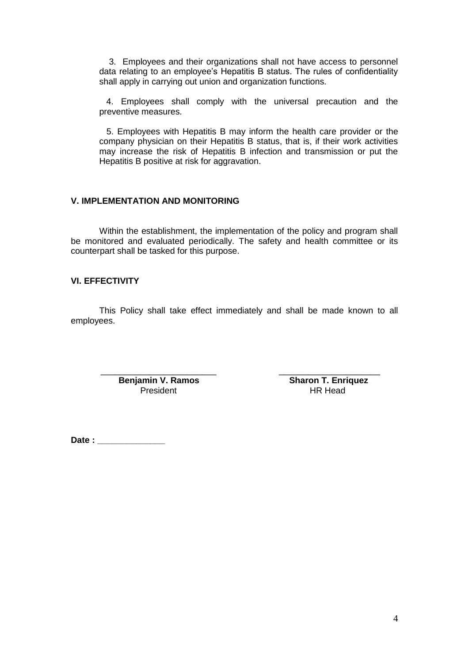3. Employees and their organizations shall not have access to personnel data relating to an employee's Hepatitis B status. The rules of confidentiality shall apply in carrying out union and organization functions.

4. Employees shall comply with the universal precaution and the preventive measures.

 5. Employees with Hepatitis B may inform the health care provider or the company physician on their Hepatitis B status, that is, if their work activities may increase the risk of Hepatitis B infection and transmission or put the Hepatitis B positive at risk for aggravation.

## **V. IMPLEMENTATION AND MONITORING**

Within the establishment, the implementation of the policy and program shall be monitored and evaluated periodically. The safety and health committee or its counterpart shall be tasked for this purpose.

## **VI. EFFECTIVITY**

This Policy shall take effect immediately and shall be made known to all employees.

 $\overline{\phantom{a}}$  ,  $\overline{\phantom{a}}$  ,  $\overline{\phantom{a}}$  ,  $\overline{\phantom{a}}$  ,  $\overline{\phantom{a}}$  ,  $\overline{\phantom{a}}$  ,  $\overline{\phantom{a}}$  ,  $\overline{\phantom{a}}$  ,  $\overline{\phantom{a}}$  ,  $\overline{\phantom{a}}$  ,  $\overline{\phantom{a}}$  ,  $\overline{\phantom{a}}$  ,  $\overline{\phantom{a}}$  ,  $\overline{\phantom{a}}$  ,  $\overline{\phantom{a}}$  ,  $\overline{\phantom{a}}$ **Benjamin V. Ramos**<br>President Benjamin President HR Head President

**Date : \_\_\_\_\_\_\_\_\_\_\_\_\_\_**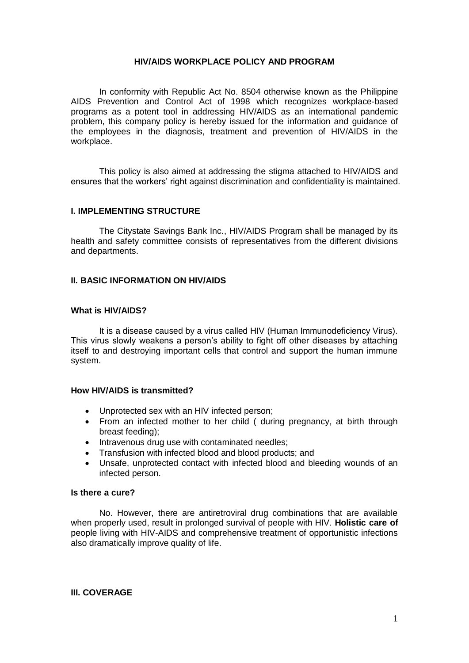### **HIV/AIDS WORKPLACE POLICY AND PROGRAM**

In conformity with Republic Act No. 8504 otherwise known as the Philippine AIDS Prevention and Control Act of 1998 which recognizes workplace-based programs as a potent tool in addressing HIV/AIDS as an international pandemic problem, this company policy is hereby issued for the information and guidance of the employees in the diagnosis, treatment and prevention of HIV/AIDS in the workplace.

This policy is also aimed at addressing the stigma attached to HIV/AIDS and ensures that the workers' right against discrimination and confidentiality is maintained.

#### **I. IMPLEMENTING STRUCTURE**

The Citystate Savings Bank Inc., HIV/AIDS Program shall be managed by its health and safety committee consists of representatives from the different divisions and departments.

#### **II. BASIC INFORMATION ON HIV/AIDS**

#### **What is HIV/AIDS?**

It is a disease caused by a virus called HIV (Human Immunodeficiency Virus). This virus slowly weakens a person's ability to fight off other diseases by attaching itself to and destroying important cells that control and support the human immune system.

### **How HIV/AIDS is transmitted?**

- Unprotected sex with an HIV infected person;
- From an infected mother to her child ( during pregnancy, at birth through breast feeding);
- Intravenous drug use with contaminated needles;
- Transfusion with infected blood and blood products; and
- Unsafe, unprotected contact with infected blood and bleeding wounds of an infected person.

### **Is there a cure?**

No. However, there are antiretroviral drug combinations that are available when properly used, result in prolonged survival of people with HIV. **Holistic care of**  people living with HIV-AIDS and comprehensive treatment of opportunistic infections also dramatically improve quality of life.

#### **III. COVERAGE**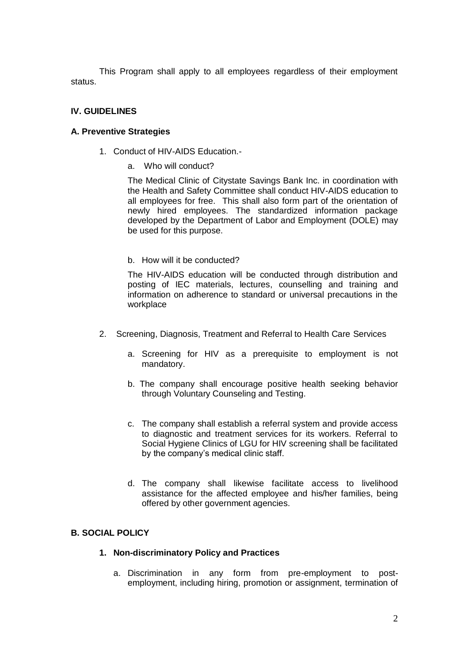This Program shall apply to all employees regardless of their employment status.

# **IV. GUIDELINES**

## **A. Preventive Strategies**

- 1. Conduct of HIV-AIDS Education.
	- a. Who will conduct?

The Medical Clinic of Citystate Savings Bank Inc. in coordination with the Health and Safety Committee shall conduct HIV-AIDS education to all employees for free. This shall also form part of the orientation of newly hired employees. The standardized information package developed by the Department of Labor and Employment (DOLE) may be used for this purpose.

b. How will it be conducted?

The HIV-AIDS education will be conducted through distribution and posting of IEC materials, lectures, counselling and training and information on adherence to standard or universal precautions in the workplace

- 2.Screening, Diagnosis, Treatment and Referral to Health Care Services
	- a. Screening for HIV as a prerequisite to employment is not mandatory.
	- b. The company shall encourage positive health seeking behavior through Voluntary Counseling and Testing.
	- c. The company shall establish a referral system and provide access to diagnostic and treatment services for its workers. Referral to Social Hygiene Clinics of LGU for HIV screening shall be facilitated by the company's medical clinic staff.
	- d. The company shall likewise facilitate access to livelihood assistance for the affected employee and his/her families, being offered by other government agencies.

# **B. SOCIAL POLICY**

- **1. Non-discriminatory Policy and Practices**
	- a. Discrimination in any form from pre-employment to postemployment, including hiring, promotion or assignment, termination of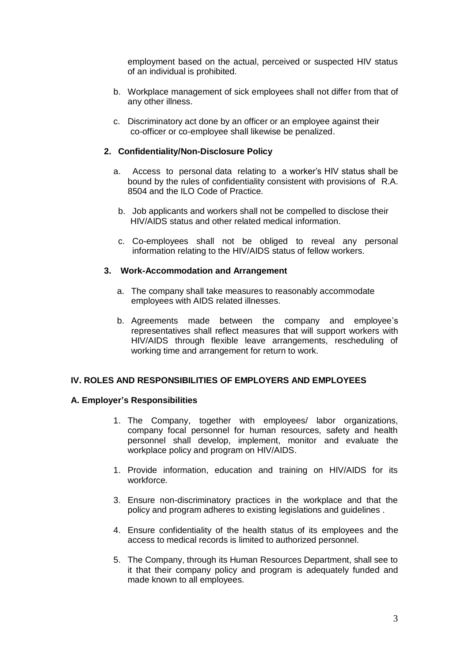employment based on the actual, perceived or suspected HIV status of an individual is prohibited.

- b. Workplace management of sick employees shall not differ from that of any other illness.
- c. Discriminatory act done by an officer or an employee against their co-officer or co-employee shall likewise be penalized.

## **2. Confidentiality/Non-Disclosure Policy**

- a. Access to personal data relating to a worker's HIV status shall be bound by the rules of confidentiality consistent with provisions of R.A. 8504 and the ILO Code of Practice.
	- b. Job applicants and workers shall not be compelled to disclose their HIV/AIDS status and other related medical information.
	- c. Co-employees shall not be obliged to reveal any personal information relating to the HIV/AIDS status of fellow workers.

### **3. Work-Accommodation and Arrangement**

- a. The company shall take measures to reasonably accommodate employees with AIDS related illnesses.
- b. Agreements made between the company and employee's representatives shall reflect measures that will support workers with HIV/AIDS through flexible leave arrangements, rescheduling of working time and arrangement for return to work.

### **IV. ROLES AND RESPONSIBILITIES OF EMPLOYERS AND EMPLOYEES**

### **A. Employer's Responsibilities**

- 1. The Company, together with employees/ labor organizations, company focal personnel for human resources, safety and health personnel shall develop, implement, monitor and evaluate the workplace policy and program on HIV/AIDS.
- 1. Provide information, education and training on HIV/AIDS for its workforce.
- 3. Ensure non-discriminatory practices in the workplace and that the policy and program adheres to existing legislations and guidelines .
- 4. Ensure confidentiality of the health status of its employees and the access to medical records is limited to authorized personnel.
- 5. The Company, through its Human Resources Department, shall see to it that their company policy and program is adequately funded and made known to all employees.